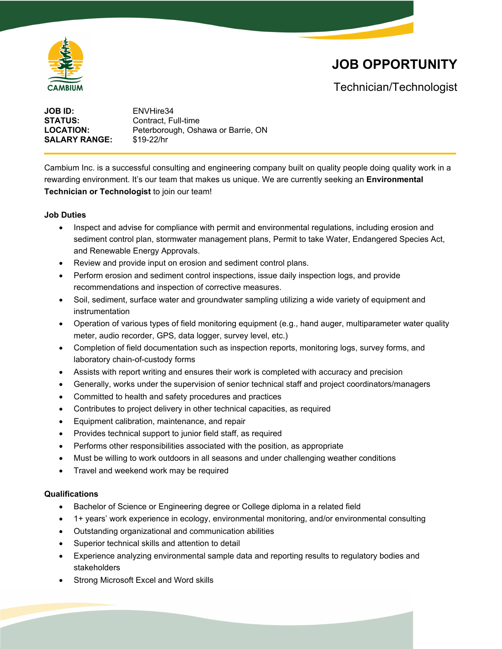

# **JOB OPPORTUNITY**

Technician/Technologist

**JOB ID:** ENVHire34 **STATUS:** Contract, Full-time **LOCATION:** Peterborough, Oshawa or Barrie, ON **SALARY RANGE:** \$19-22/hr

Cambium Inc. is a successful consulting and engineering company built on quality people doing quality work in a rewarding environment. It's our team that makes us unique. We are currently seeking an **Environmental Technician or Technologist** to join our team!

## **Job Duties**

- Inspect and advise for compliance with permit and environmental regulations, including erosion and sediment control plan, stormwater management plans, Permit to take Water, Endangered Species Act, and Renewable Energy Approvals.
- Review and provide input on erosion and sediment control plans.
- Perform erosion and sediment control inspections, issue daily inspection logs, and provide recommendations and inspection of corrective measures.
- Soil, sediment, surface water and groundwater sampling utilizing a wide variety of equipment and instrumentation
- Operation of various types of field monitoring equipment (e.g., hand auger, multiparameter water quality meter, audio recorder, GPS, data logger, survey level, etc.)
- Completion of field documentation such as inspection reports, monitoring logs, survey forms, and laboratory chain-of-custody forms
- Assists with report writing and ensures their work is completed with accuracy and precision
- Generally, works under the supervision of senior technical staff and project coordinators/managers
- Committed to health and safety procedures and practices
- Contributes to project delivery in other technical capacities, as required
- Equipment calibration, maintenance, and repair
- Provides technical support to junior field staff, as required
- Performs other responsibilities associated with the position, as appropriate
- Must be willing to work outdoors in all seasons and under challenging weather conditions
- Travel and weekend work may be required

#### **Qualifications**

- Bachelor of Science or Engineering degree or College diploma in a related field
- 1+ years' work experience in ecology, environmental monitoring, and/or environmental consulting
- Outstanding organizational and communication abilities
- Superior technical skills and attention to detail
- Experience analyzing environmental sample data and reporting results to regulatory bodies and stakeholders
- Strong Microsoft Excel and Word skills